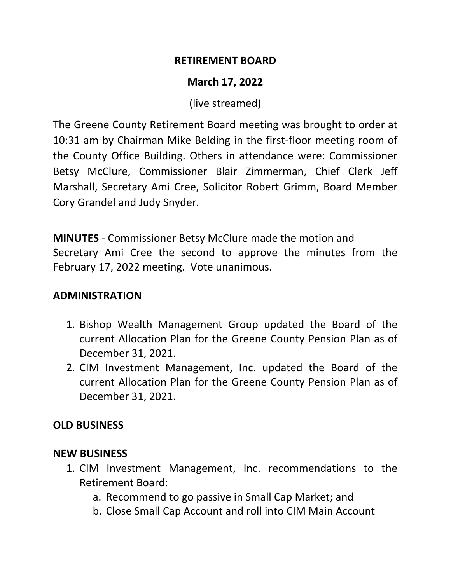#### **RETIREMENT BOARD**

# **March 17, 2022**

(live streamed)

The Greene County Retirement Board meeting was brought to order at 10:31 am by Chairman Mike Belding in the first-floor meeting room of the County Office Building. Others in attendance were: Commissioner Betsy McClure, Commissioner Blair Zimmerman, Chief Clerk Jeff Marshall, Secretary Ami Cree, Solicitor Robert Grimm, Board Member Cory Grandel and Judy Snyder.

**MINUTES** - Commissioner Betsy McClure made the motion and Secretary Ami Cree the second to approve the minutes from the February 17, 2022 meeting. Vote unanimous.

## **ADMINISTRATION**

- 1. Bishop Wealth Management Group updated the Board of the current Allocation Plan for the Greene County Pension Plan as of December 31, 2021.
- 2. CIM Investment Management, Inc. updated the Board of the current Allocation Plan for the Greene County Pension Plan as of December 31, 2021.

# **OLD BUSINESS**

## **NEW BUSINESS**

- 1. CIM Investment Management, Inc. recommendations to the Retirement Board:
	- a. Recommend to go passive in Small Cap Market; and
	- b. Close Small Cap Account and roll into CIM Main Account